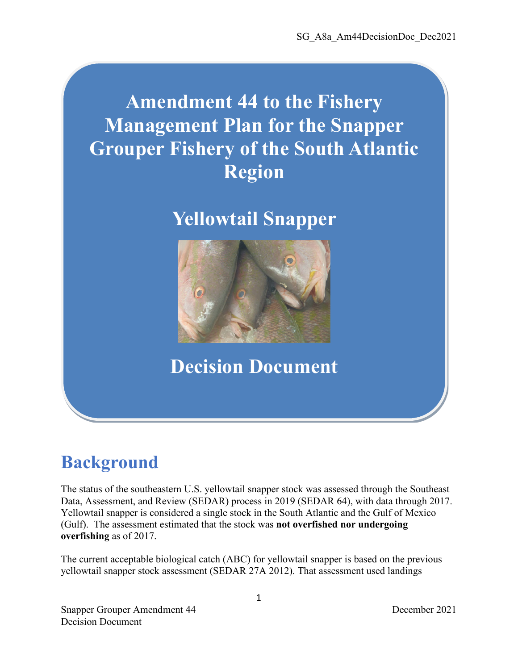# **Amendment 44 to the Fishery Management Plan for the Snapper Grouper Fishery of the South Atlantic Region**

## **Yellowtail Snapper**



## **Decision Document**

## **Background**

The status of the southeastern U.S. yellowtail snapper stock was assessed through the Southeast Data, Assessment, and Review (SEDAR) process in 2019 (SEDAR 64), with data through 2017. Yellowtail snapper is considered a single stock in the South Atlantic and the Gulf of Mexico (Gulf). The assessment estimated that the stock was **not overfished nor undergoing overfishing** as of 2017.

The current acceptable biological catch (ABC) for yellowtail snapper is based on the previous yellowtail snapper stock assessment (SEDAR 27A 2012). That assessment used landings

Snapper Grouper Amendment 44 December 2021 Decision Document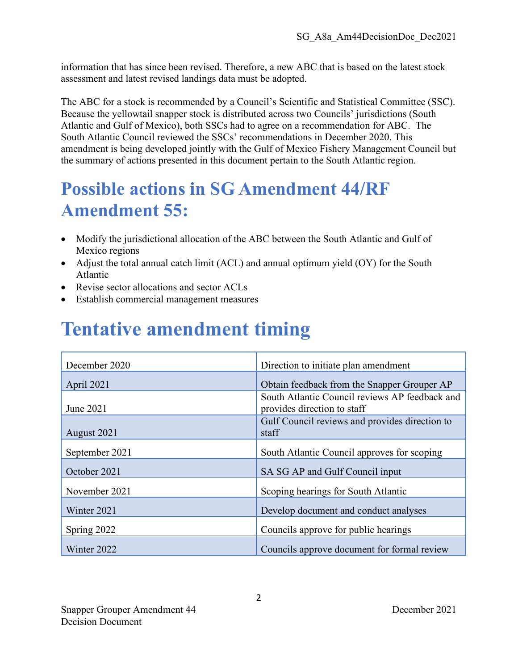information that has since been revised. Therefore, a new ABC that is based on the latest stock assessment and latest revised landings data must be adopted.

The ABC for a stock is recommended by a Council's Scientific and Statistical Committee (SSC). Because the yellowtail snapper stock is distributed across two Councils' jurisdictions (South Atlantic and Gulf of Mexico), both SSCs had to agree on a recommendation for ABC. The South Atlantic Council reviewed the SSCs' recommendations in December 2020. This amendment is being developed jointly with the Gulf of Mexico Fishery Management Council but the summary of actions presented in this document pertain to the South Atlantic region.

## **Possible actions in SG Amendment 44/RF Amendment 55:**

- Modify the jurisdictional allocation of the ABC between the South Atlantic and Gulf of Mexico regions
- Adjust the total annual catch limit (ACL) and annual optimum yield (OY) for the South Atlantic
- Revise sector allocations and sector ACLs
- Establish commercial management measures

## **Tentative amendment timing**

| December 2020  | Direction to initiate plan amendment                                          |
|----------------|-------------------------------------------------------------------------------|
| April 2021     | Obtain feedback from the Snapper Grouper AP                                   |
| June 2021      | South Atlantic Council reviews AP feedback and<br>provides direction to staff |
| August 2021    | Gulf Council reviews and provides direction to<br>staff                       |
| September 2021 | South Atlantic Council approves for scoping                                   |
| October 2021   | SA SG AP and Gulf Council input                                               |
| November 2021  | Scoping hearings for South Atlantic                                           |
| Winter 2021    | Develop document and conduct analyses                                         |
| Spring 2022    | Councils approve for public hearings                                          |
| Winter 2022    | Councils approve document for formal review                                   |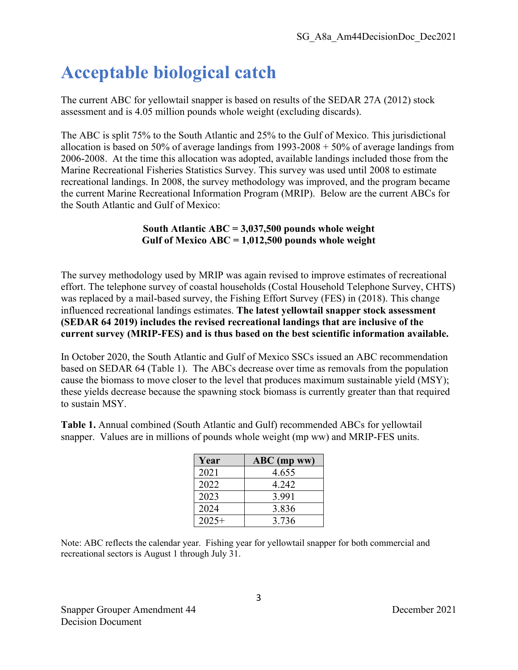## **Acceptable biological catch**

The current ABC for yellowtail snapper is based on results of the SEDAR 27A (2012) stock assessment and is 4.05 million pounds whole weight (excluding discards).

The ABC is split 75% to the South Atlantic and 25% to the Gulf of Mexico. This jurisdictional allocation is based on 50% of average landings from 1993-2008 + 50% of average landings from 2006-2008. At the time this allocation was adopted, available landings included those from the Marine Recreational Fisheries Statistics Survey. This survey was used until 2008 to estimate recreational landings. In 2008, the survey methodology was improved, and the program became the current Marine Recreational Information Program (MRIP). Below are the current ABCs for the South Atlantic and Gulf of Mexico:

#### **South Atlantic ABC = 3,037,500 pounds whole weight Gulf of Mexico ABC = 1,012,500 pounds whole weight**

The survey methodology used by MRIP was again revised to improve estimates of recreational effort. The telephone survey of coastal households (Costal Household Telephone Survey, CHTS) was replaced by a mail-based survey, the Fishing Effort Survey (FES) in (2018). This change influenced recreational landings estimates. **The latest yellowtail snapper stock assessment (SEDAR 64 2019) includes the revised recreational landings that are inclusive of the current survey (MRIP-FES) and is thus based on the best scientific information available.**

In October 2020, the South Atlantic and Gulf of Mexico SSCs issued an ABC recommendation based on SEDAR 64 (Table 1). The ABCs decrease over time as removals from the population cause the biomass to move closer to the level that produces maximum sustainable yield (MSY); these yields decrease because the spawning stock biomass is currently greater than that required to sustain MSY.

**Table 1.** Annual combined (South Atlantic and Gulf) recommended ABCs for yellowtail snapper. Values are in millions of pounds whole weight (mp ww) and MRIP-FES units.

| Year    | $ABC$ (mp ww) |
|---------|---------------|
| 2021    | 4.655         |
| 2022    | 4.242         |
| 2023    | 3.991         |
| 2024    | 3.836         |
| $2025+$ | 3.736         |

Note: ABC reflects the calendar year. Fishing year for yellowtail snapper for both commercial and recreational sectors is August 1 through July 31.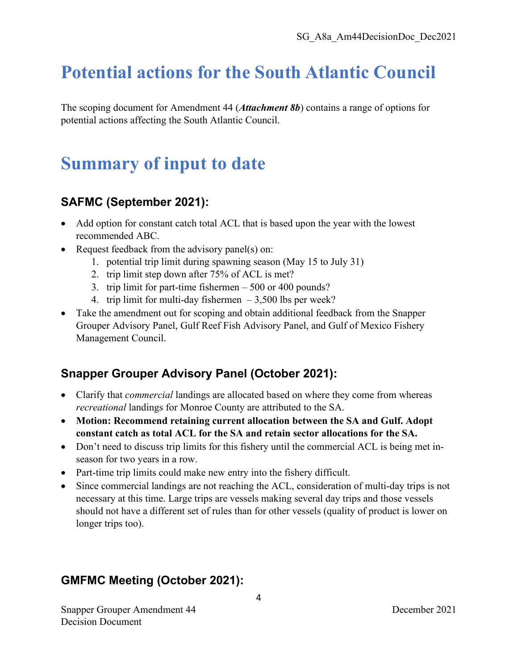### **Potential actions for the South Atlantic Council**

The scoping document for Amendment 44 (*Attachment 8b*) contains a range of options for potential actions affecting the South Atlantic Council.

### **Summary of input to date**

#### **SAFMC (September 2021):**

- Add option for constant catch total ACL that is based upon the year with the lowest recommended ABC.
- Request feedback from the advisory panel(s) on:
	- 1. potential trip limit during spawning season (May 15 to July 31)
	- 2. trip limit step down after 75% of ACL is met?
	- 3. trip limit for part-time fishermen 500 or 400 pounds?
	- 4. trip limit for multi-day fishermen  $-3,500$  lbs per week?
- Take the amendment out for scoping and obtain additional feedback from the Snapper Grouper Advisory Panel, Gulf Reef Fish Advisory Panel, and Gulf of Mexico Fishery Management Council.

### **Snapper Grouper Advisory Panel (October 2021):**

- Clarify that *commercial* landings are allocated based on where they come from whereas *recreational* landings for Monroe County are attributed to the SA.
- **Motion: Recommend retaining current allocation between the SA and Gulf. Adopt constant catch as total ACL for the SA and retain sector allocations for the SA.**
- Don't need to discuss trip limits for this fishery until the commercial ACL is being met inseason for two years in a row.
- Part-time trip limits could make new entry into the fishery difficult.
- Since commercial landings are not reaching the ACL, consideration of multi-day trips is not necessary at this time. Large trips are vessels making several day trips and those vessels should not have a different set of rules than for other vessels (quality of product is lower on longer trips too).

### **GMFMC Meeting (October 2021):**

Snapper Grouper Amendment 44 December 2021 Decision Document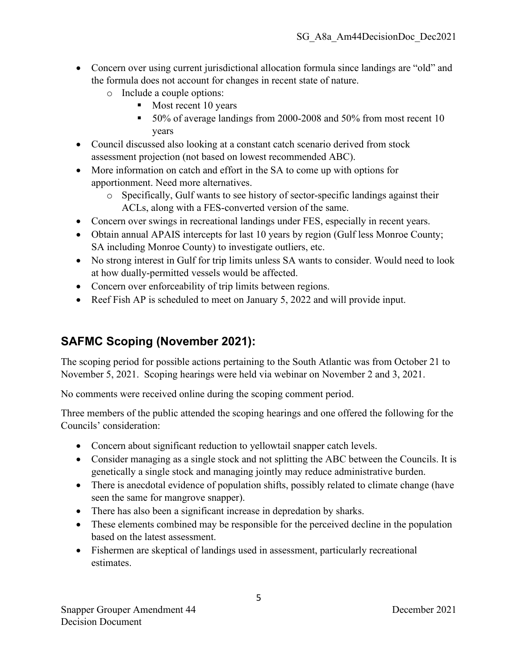- Concern over using current jurisdictional allocation formula since landings are "old" and the formula does not account for changes in recent state of nature.
	- o Include a couple options:
		- Most recent 10 years
		- 50% of average landings from 2000-2008 and 50% from most recent 10 years
- Council discussed also looking at a constant catch scenario derived from stock assessment projection (not based on lowest recommended ABC).
- More information on catch and effort in the SA to come up with options for apportionment. Need more alternatives.
	- o Specifically, Gulf wants to see history of sector-specific landings against their ACLs, along with a FES-converted version of the same.
- Concern over swings in recreational landings under FES, especially in recent years.
- Obtain annual APAIS intercepts for last 10 years by region (Gulf less Monroe County; SA including Monroe County) to investigate outliers, etc.
- No strong interest in Gulf for trip limits unless SA wants to consider. Would need to look at how dually-permitted vessels would be affected.
- Concern over enforceability of trip limits between regions.
- Reef Fish AP is scheduled to meet on January 5, 2022 and will provide input.

### **SAFMC Scoping (November 2021):**

The scoping period for possible actions pertaining to the South Atlantic was from October 21 to November 5, 2021. Scoping hearings were held via webinar on November 2 and 3, 2021.

No comments were received online during the scoping comment period.

Three members of the public attended the scoping hearings and one offered the following for the Councils' consideration:

- Concern about significant reduction to yellowtail snapper catch levels.
- Consider managing as a single stock and not splitting the ABC between the Councils. It is genetically a single stock and managing jointly may reduce administrative burden.
- There is anecdotal evidence of population shifts, possibly related to climate change (have seen the same for mangrove snapper).
- There has also been a significant increase in depredation by sharks.
- These elements combined may be responsible for the perceived decline in the population based on the latest assessment.
- Fishermen are skeptical of landings used in assessment, particularly recreational estimates.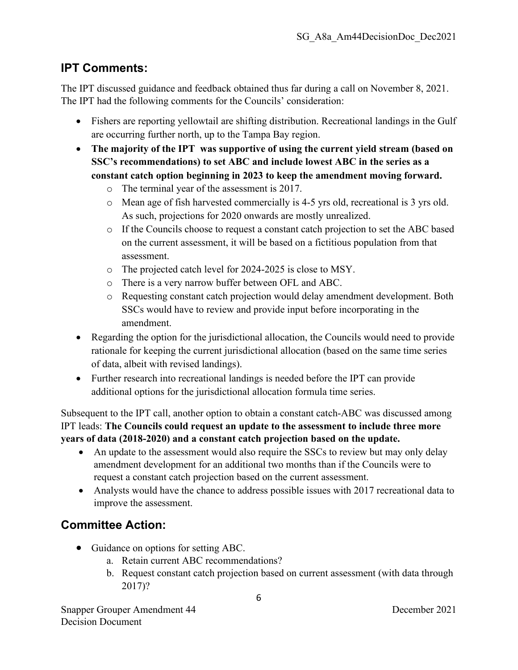#### **IPT Comments:**

The IPT discussed guidance and feedback obtained thus far during a call on November 8, 2021. The IPT had the following comments for the Councils' consideration:

- Fishers are reporting yellowtail are shifting distribution. Recreational landings in the Gulf are occurring further north, up to the Tampa Bay region.
- **The majority of the IPT was supportive of using the current yield stream (based on SSC's recommendations) to set ABC and include lowest ABC in the series as a constant catch option beginning in 2023 to keep the amendment moving forward.**
	- o The terminal year of the assessment is 2017.
	- o Mean age of fish harvested commercially is 4-5 yrs old, recreational is 3 yrs old. As such, projections for 2020 onwards are mostly unrealized.
	- o If the Councils choose to request a constant catch projection to set the ABC based on the current assessment, it will be based on a fictitious population from that assessment.
	- o The projected catch level for 2024-2025 is close to MSY.
	- o There is a very narrow buffer between OFL and ABC.
	- o Requesting constant catch projection would delay amendment development. Both SSCs would have to review and provide input before incorporating in the amendment.
- Regarding the option for the jurisdictional allocation, the Councils would need to provide rationale for keeping the current jurisdictional allocation (based on the same time series of data, albeit with revised landings).
- Further research into recreational landings is needed before the IPT can provide additional options for the jurisdictional allocation formula time series.

Subsequent to the IPT call, another option to obtain a constant catch-ABC was discussed among IPT leads: **The Councils could request an update to the assessment to include three more years of data (2018-2020) and a constant catch projection based on the update.**

- An update to the assessment would also require the SSCs to review but may only delay amendment development for an additional two months than if the Councils were to request a constant catch projection based on the current assessment.
- Analysts would have the chance to address possible issues with 2017 recreational data to improve the assessment.

### **Committee Action:**

- Guidance on options for setting ABC.
	- a. Retain current ABC recommendations?
	- b. Request constant catch projection based on current assessment (with data through 2017)?